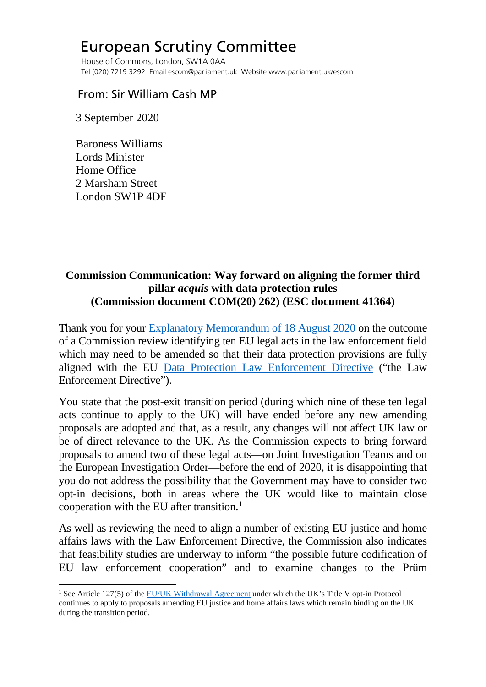## European Scrutiny Committee

 House of Commons, London, SW1A 0AA Tel (020) 7219 3292 Email escom@parliament.uk Website www.parliament.uk/escom

## From: Sir William Cash MP

3 September 2020

 Baroness Williams Lords Minister Home Office 2 Marsham Street London SW1P 4DF

## **Commission Communication: Way forward on aligning the former third pillar** *acquis* **with data protection rules (Commission document COM(20) 262) (ESC document 41364)**

Thank you for your [Explanatory Memorandum of 18 August 2020](http://europeanmemoranda.cabinetoffice.gov.uk/files/2020/08/EM_COM_2020_262_+_Add_1.pdf) on the outcome of a Commission review identifying ten EU legal acts in the law enforcement field which may need to be amended so that their data protection provisions are fully aligned with the EU [Data Protection Law Enforcement Directive](https://eur-lex.europa.eu/legal-content/EN/TXT/PDF/?uri=CELEX:32016L0680&from=EN) ("the Law Enforcement Directive").

You state that the post-exit transition period (during which nine of these ten legal acts continue to apply to the UK) will have ended before any new amending proposals are adopted and that, as a result, any changes will not affect UK law or be of direct relevance to the UK. As the Commission expects to bring forward proposals to amend two of these legal acts—on Joint Investigation Teams and on the European Investigation Order—before the end of 2020, it is disappointing that you do not address the possibility that the Government may have to consider two opt-in decisions, both in areas where the UK would like to maintain close cooperation with the EU after transition. $<sup>1</sup>$  $<sup>1</sup>$  $<sup>1</sup>$ </sup>

As well as reviewing the need to align a number of existing EU justice and home affairs laws with the Law Enforcement Directive, the Commission also indicates that feasibility studies are underway to inform "the possible future codification of EU law enforcement cooperation" and to examine changes to the Prüm

<span id="page-0-0"></span><sup>&</sup>lt;sup>1</sup> See Article 127(5) of th[e EU/UK Withdrawal Agreement](https://eur-lex.europa.eu/legal-content/EN/TXT/PDF/?uri=CELEX:12019W/TXT(02)&from=EN) under which the UK's Title V opt-in Protocol continues to apply to proposals amending EU justice and home affairs laws which remain binding on the UK during the transition period.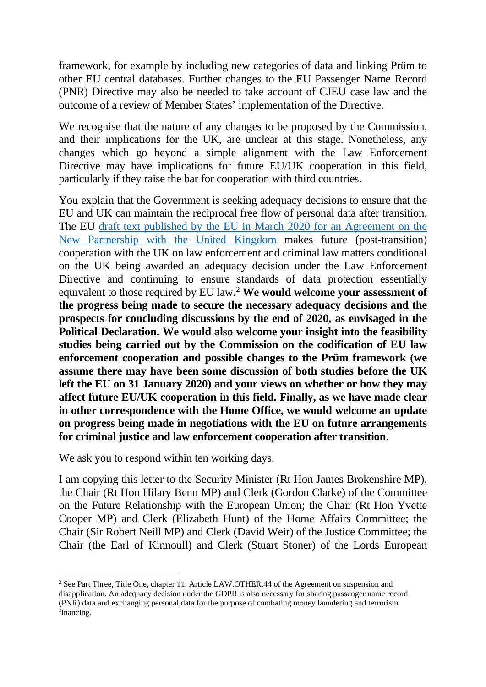framework, for example by including new categories of data and linking Prüm to other EU central databases. Further changes to the EU Passenger Name Record (PNR) Directive may also be needed to take account of CJEU case law and the outcome of a review of Member States' implementation of the Directive.

We recognise that the nature of any changes to be proposed by the Commission, and their implications for the UK, are unclear at this stage. Nonetheless, any changes which go beyond a simple alignment with the Law Enforcement Directive may have implications for future EU/UK cooperation in this field, particularly if they raise the bar for cooperation with third countries.

You explain that the Government is seeking adequacy decisions to ensure that the EU and UK can maintain the reciprocal free flow of personal data after transition. The EU draft text published by the EU [in March 2020 for an Agreement on the](https://ec.europa.eu/info/sites/info/files/200318-draft-agreement-gen.pdf)  [New Partnership with the United Kingdom](https://ec.europa.eu/info/sites/info/files/200318-draft-agreement-gen.pdf) makes future (post-transition) cooperation with the UK on law enforcement and criminal law matters conditional on the UK being awarded an adequacy decision under the Law Enforcement Directive and continuing to ensure standards of data protection essentially equivalent to those required by EU law.[2](#page-1-0) **We would welcome your assessment of the progress being made to secure the necessary adequacy decisions and the prospects for concluding discussions by the end of 2020, as envisaged in the Political Declaration. We would also welcome your insight into the feasibility studies being carried out by the Commission on the codification of EU law enforcement cooperation and possible changes to the Prüm framework (we assume there may have been some discussion of both studies before the UK left the EU on 31 January 2020) and your views on whether or how they may affect future EU/UK cooperation in this field. Finally, as we have made clear in other correspondence with the Home Office, we would welcome an update on progress being made in negotiations with the EU on future arrangements for criminal justice and law enforcement cooperation after transition**.

We ask you to respond within ten working days.

I am copying this letter to the Security Minister (Rt Hon James Brokenshire MP), the Chair (Rt Hon Hilary Benn MP) and Clerk (Gordon Clarke) of the Committee on the Future Relationship with the European Union; the Chair (Rt Hon Yvette Cooper MP) and Clerk (Elizabeth Hunt) of the Home Affairs Committee; the Chair (Sir Robert Neill MP) and Clerk (David Weir) of the Justice Committee; the Chair (the Earl of Kinnoull) and Clerk (Stuart Stoner) of the Lords European

<span id="page-1-0"></span><sup>&</sup>lt;sup>2</sup> See Part Three, Title One, chapter 11, Article LAW.OTHER.44 of the Agreement on suspension and disapplication. An adequacy decision under the GDPR is also necessary for sharing passenger name record (PNR) data and exchanging personal data for the purpose of combating money laundering and terrorism financing.